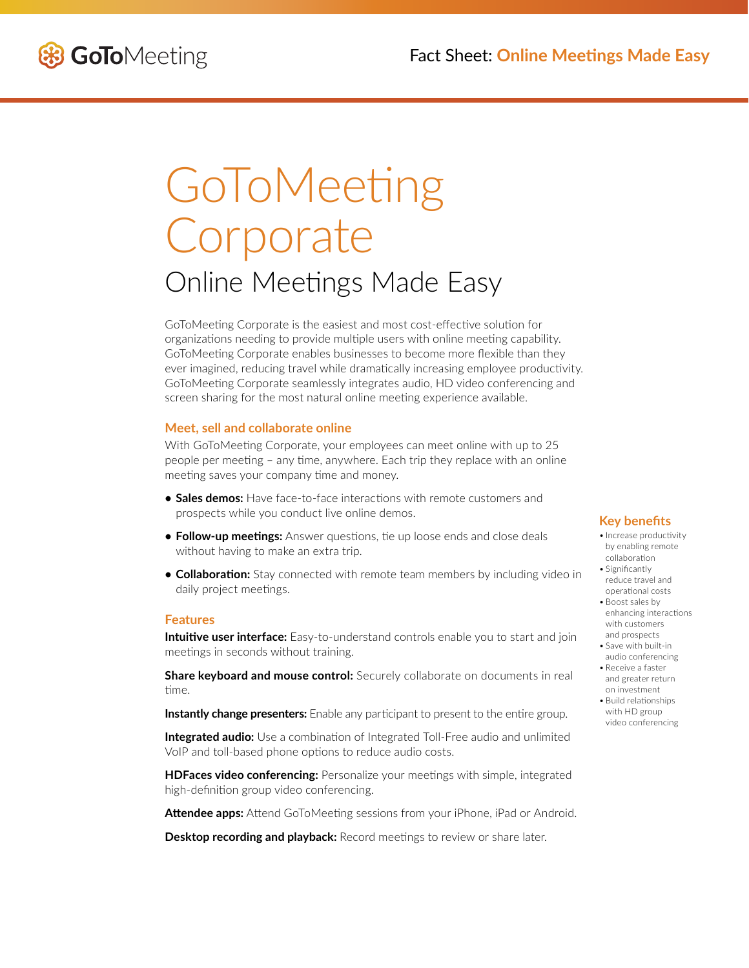

# **GoToMeeting** Corporate Online Meetings Made Easy

GoToMeeting Corporate is the easiest and most cost-effective solution for organizations needing to provide multiple users with online meeting capability. GoToMeeting Corporate enables businesses to become more flexible than they ever imagined, reducing travel while dramatically increasing employee productivity. GoToMeeting Corporate seamlessly integrates audio, HD video conferencing and screen sharing for the most natural online meeting experience available.

# **Meet, sell and collaborate online**

With GoToMeeting Corporate, your employees can meet online with up to 25 people per meeting – any time, anywhere. Each trip they replace with an online meeting saves your company time and money.

- **• Sales demos:** Have face-to-face interactions with remote customers and prospects while you conduct live online demos.
- **• Follow-up meetings:** Answer questions, tie up loose ends and close deals without having to make an extra trip.
- **• Collaboration:** Stay connected with remote team members by including video in daily project meetings.

#### **Features**

**Intuitive user interface:** Easy-to-understand controls enable you to start and join meetings in seconds without training.

**Share keyboard and mouse control:** Securely collaborate on documents in real time.

**Instantly change presenters:** Enable any participant to present to the entire group.

**Integrated audio:** Use a combination of Integrated Toll-Free audio and unlimited VoIP and toll-based phone options to reduce audio costs.

**HDFaces video conferencing:** Personalize your meetings with simple, integrated high-definition group video conferencing.

**Attendee apps:** Attend GoToMeeting sessions from your iPhone, iPad or Android.

**Desktop recording and playback:** Record meetings to review or share later.

# **Key benefits**

- Increase productivity by enabling remote collaboration
- Significantly reduce travel and operational costs
- Boost sales by enhancing interactions with customers and prospects
- Save with built-in audio conferencing
- Receive a faster and greater return on investment
- Build relationships with HD group video conferencing